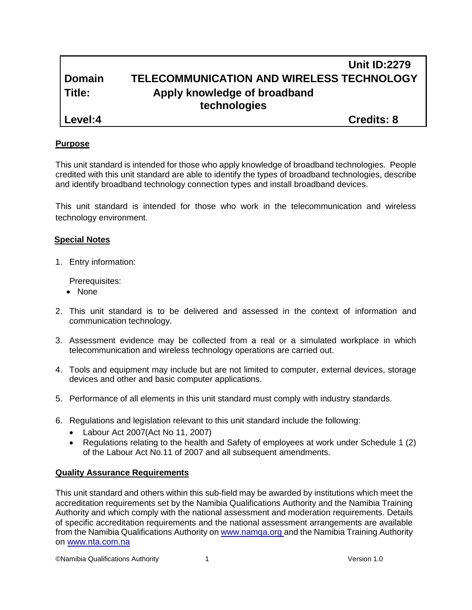|                | <b>Unit ID:2279</b>                              |
|----------------|--------------------------------------------------|
| <b>Domain</b>  | <b>TELECOMMUNICATION AND WIRELESS TECHNOLOGY</b> |
| Title:         | Apply knowledge of broadband                     |
|                | technologies                                     |
| <b>Level:4</b> | <b>Credits: 8</b>                                |

#### **Purpose**

This unit standard is intended for those who apply knowledge of broadband technologies. People credited with this unit standard are able to identify the types of broadband technologies, describe and identify broadband technology connection types and install broadband devices.

This unit standard is intended for those who work in the telecommunication and wireless technology environment.

#### **Special Notes**

1. Entry information:

Prerequisites:

- None
- 2. This unit standard is to be delivered and assessed in the context of information and communication technology.
- 3. Assessment evidence may be collected from a real or a simulated workplace in which telecommunication and wireless technology operations are carried out.
- 4. Tools and equipment may include but are not limited to computer, external devices, storage devices and other and basic computer applications.
- 5. Performance of all elements in this unit standard must comply with industry standards.
- 6. Regulations and legislation relevant to this unit standard include the following:
	- Labour Act 2007(Act No 11, 2007)
	- Regulations relating to the health and Safety of employees at work under Schedule 1 (2) of the Labour Act No.11 of 2007 and all subsequent amendments.

## **Quality Assurance Requirements**

This unit standard and others within this sub-field may be awarded by institutions which meet the accreditation requirements set by the Namibia Qualifications Authority and the Namibia Training Authority and which comply with the national assessment and moderation requirements. Details of specific accreditation requirements and the national assessment arrangements are available from the Namibia Qualifications Authority o[n www.namqa.org a](http://www.namqa.org/)nd the Namibia Training Authority on [www.nta.com.na](http://www.nta.com.na/)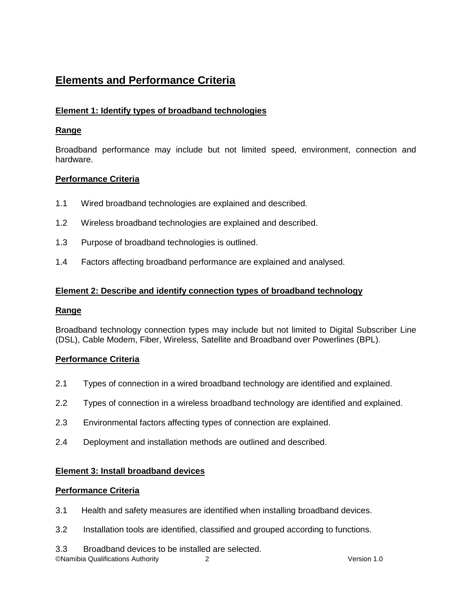# **Elements and Performance Criteria**

# **Element 1: Identify types of broadband technologies**

# **Range**

Broadband performance may include but not limited speed, environment, connection and hardware.

# **Performance Criteria**

- 1.1 Wired broadband technologies are explained and described.
- 1.2 Wireless broadband technologies are explained and described.
- 1.3 Purpose of broadband technologies is outlined.
- 1.4 Factors affecting broadband performance are explained and analysed.

# **Element 2: Describe and identify connection types of broadband technology**

## **Range**

Broadband technology connection types may include but not limited to Digital Subscriber Line (DSL), Cable Modem, Fiber, Wireless, Satellite and Broadband over Powerlines (BPL).

## **Performance Criteria**

- 2.1 Types of connection in a wired broadband technology are identified and explained.
- 2.2 Types of connection in a wireless broadband technology are identified and explained.
- 2.3 Environmental factors affecting types of connection are explained.
- 2.4 Deployment and installation methods are outlined and described.

## **Element 3: Install broadband devices**

## **Performance Criteria**

- 3.1 Health and safety measures are identified when installing broadband devices.
- 3.2 Installation tools are identified, classified and grouped according to functions.
- 3.3 Broadband devices to be installed are selected.